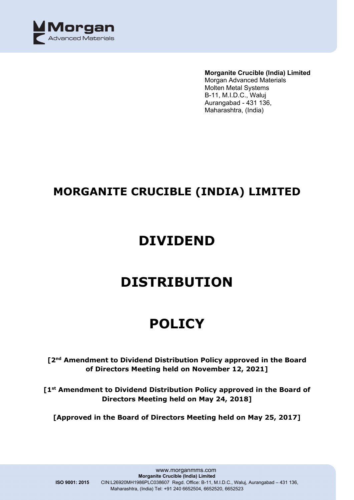

#### **Morganite Crucible (India) Limited**

Morgan Advanced Materials Molten Metal Systems B-11, M.I.D.C., Waluj Aurangabad - 431 136, Maharashtra, (India)

## **MORGANITE CRUCIBLE (INDIA) LIMITED**

## **DIVIDEND**

## **DISTRIBUTION**

# **POLICY**

## **[2nd Amendment to Dividend Distribution Policy approved in the Board of Directors Meeting held on November 12, 2021]**

**[1st Amendment to Dividend Distribution Policy approved in the Board of Directors Meeting held on May 24, 2018]**

**[Approved in the Board of Directors Meeting held on May 25, 2017]**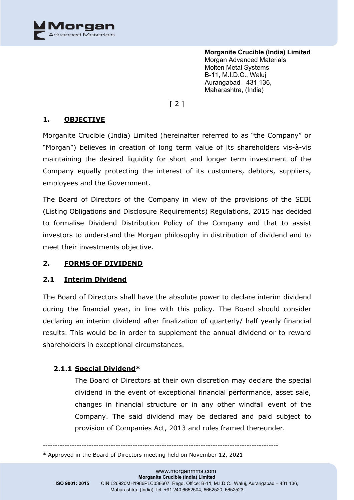

## [ 2 ]

### **1. OBJECTIVE**

Morganite Crucible (India) Limited (hereinafter referred to as "the Company" or "Morgan") believes in creation of long term value of its shareholders vis-à-vis maintaining the desired liquidity for short and longer term investment of the Company equally protecting the interest of its customers, debtors, suppliers, employees and the Government.

The Board of Directors of the Company in view of the provisions of the SEBI (Listing Obligations and Disclosure Requirements) Regulations, 2015 has decided to formalise Dividend Distribution Policy of the Company and that to assist investors to understand the Morgan philosophy in distribution of dividend and to meet their investments objective.

#### **2. FORMS OF DIVIDEND**

#### **2.1 Interim Dividend**

The Board of Directors shall have the absolute power to declare interim dividend during the financial year, in line with this policy. The Board should consider declaring an interim dividend after finalization of quarterly/ half yearly financial results. This would be in order to supplement the annual dividend or to reward shareholders in exceptional circumstances.

## **2.1.1 Special Dividend\***

The Board of Directors at their own discretion may declare the special dividend in the event of exceptional financial performance, asset sale, changes in financial structure or in any other windfall event of the Company. The said dividend may be declared and paid subject to provision of Companies Act, 2013 and rules framed thereunder.

-------------------------------------------------------------------------------------------------

<sup>\*</sup> Approved in the Board of Directors meeting held on November 12, 2021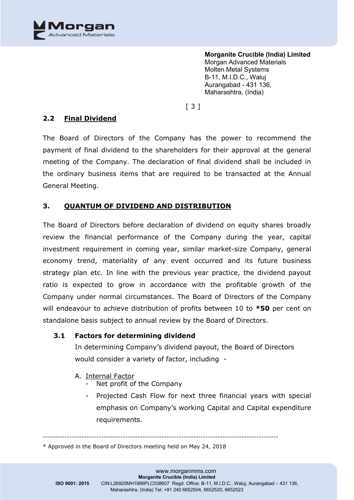

[ 3 ]

## **2.2 Final Dividend**

The Board of Directors of the Company has the power to recommend the payment of final dividend to the shareholders for their approval at the general meeting of the Company. The declaration of final dividend shall be included in the ordinary business items that are required to be transacted at the Annual General Meeting.

## **3. QUANTUM OF DIVIDEND AND DISTRIBUTION**

The Board of Directors before declaration of dividend on equity shares broadly review the financial performance of the Company during the year, capital investment requirement in coming year, similar market-size Company, general economy trend, materiality of any event occurred and its future business strategy plan etc. In line with the previous year practice, the dividend payout ratio is expected to grow in accordance with the profitable growth of the Company under normal circumstances. The Board of Directors of the Company will endeavour to achieve distribution of profits between 10 to **\*50** per cent on standalone basis subject to annual review by the Board of Directors.

#### **3.1 Factors for determining dividend**

In determining Company's dividend payout, the Board of Directors would consider a variety of factor, including -

#### A. Internal Factor

- Net profit of the Company
- Projected Cash Flow for next three financial years with special emphasis on Company's working Capital and Capital expenditure requirements.

-------------------------------------------------------------------------------------------------

\* Approved in the Board of Directors meeting held on May 24, 2018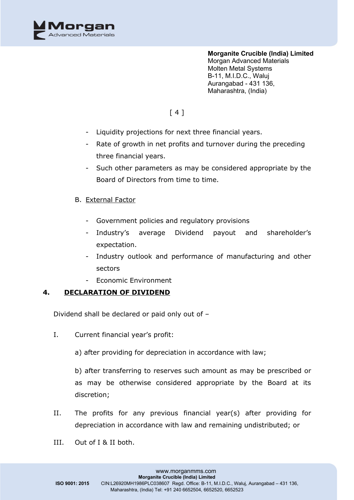

## [ 4 ]

- Liquidity projections for next three financial years.
- Rate of growth in net profits and turnover during the preceding three financial years.
- Such other parameters as may be considered appropriate by the Board of Directors from time to time.
- B. External Factor
	- Government policies and regulatory provisions
	- Industry's average Dividend payout and shareholder's expectation.
	- Industry outlook and performance of manufacturing and other sectors
	- Economic Environment

## **4. DECLARATION OF DIVIDEND**

Dividend shall be declared or paid only out of –

- I. Current financial year's profit:
	- a) after providing for depreciation in accordance with law;

b) after transferring to reserves such amount as may be prescribed or as may be otherwise considered appropriate by the Board at its discretion;

- II. The profits for any previous financial year(s) after providing for depreciation in accordance with law and remaining undistributed; or
- III. Out of I & II both.